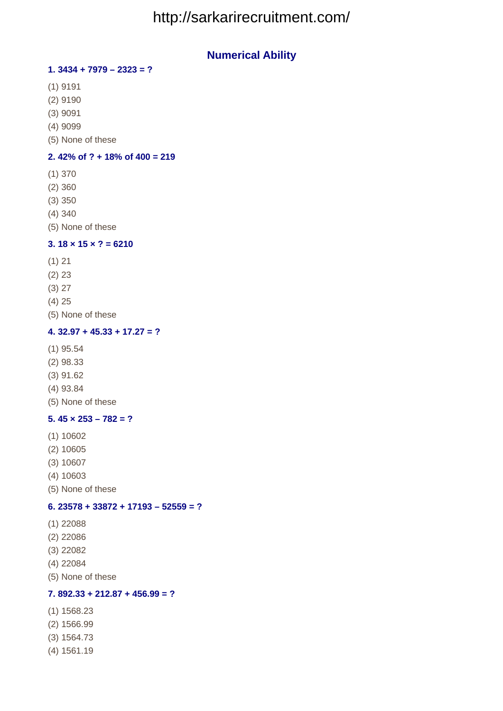# http://sarkarirecruitment.com/

# **Numerical Ability**

## **1. 3434 + 7979 – 2323 = ?**

- (1) 9191
- (2) 9190
- (3) 9091
- (4) 9099
- (5) None of these

### **2. 42% of ? + 18% of 400 = 219**

- (1) 370
- (2) 360
- (3) 350
- (4) 340
- (5) None of these

#### **3. 18 × 15 × ? = 6210**

- (1) 21
- (2) 23
- (3) 27
- (4) 25
- (5) None of these

### **4. 32.97 + 45.33 + 17.27 = ?**

- (1) 95.54
- (2) 98.33
- (3) 91.62
- (4) 93.84
- (5) None of these

#### **5. 45 × 253 – 782 = ?**

- (1) 10602
- (2) 10605
- (3) 10607
- (4) 10603
- (5) None of these

# **6. 23578 + 33872 + 17193 – 52559 = ?**

- (1) 22088
- (2) 22086
- (3) 22082
- (4) 22084
- (5) None of these

## **7. 892.33 + 212.87 + 456.99 = ?**

- (1) 1568.23
- (2) 1566.99
- (3) 1564.73
- (4) 1561.19